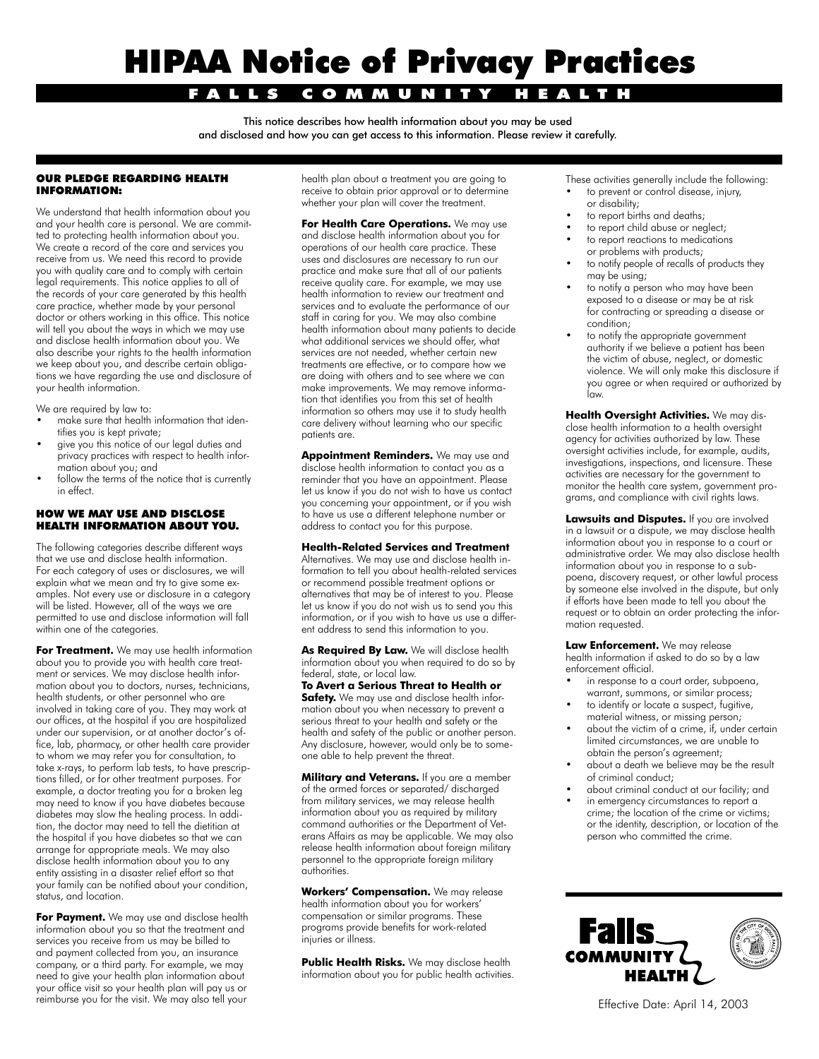# HIPAA Notice of Privacy Practices

### FALLS COMMUNITY HEALTH

This notice describes how health information about you may be used and disclosed and how you can get access to this information. Please review it carefully.

#### OUR PLEDGE REGARDING HEALTH INFORMATION:

We understand that health information about you and your health care is personal. We are committed to protecting health information about you. We create a record of the care and services you receive from us. We need this record to provide you with quality care and to comply with certain legal requirements. This notice applies to all of the records of your care generated by this health care practice, whether made by your personal doctor or others working in this office. This notice will tell you about the ways in which we may use and disclose health information about you. We also describe your rights to the health information we keep about you, and describe certain obligations we have regarding the use and disclosure of your health information.

We are required by law to:

- make sure that health information that identifies you is kept private;
- give you this notice of our legal duties and privacy practices with respect to health information about you; and
- follow the terms of the notice that is currently in effect.

#### HOW WE MAY USE AND DISCLOSE HEALTH INFORMATION ABOUT YOU.

The following categories describe different ways that we use and disclose health information. For each category of uses or disclosures, we will explain what we mean and try to give some examples. Not every use or disclosure in a category will be listed. However, all of the ways we are permitted to use and disclose information will fall within one of the categories.

**For Treatment.** We may use health information about you to provide you with health care treatment or services. We may disclose health information about you to doctors, nurses, technicians, health students, or other personnel who are involved in taking care of you. They may work at our offices, at the hospital if you are hospitalized under our supervision, or at another doctor's office, lab, pharmacy, or other health care provider to whom we may refer you for consultation, to take x-rays, to perform lab tests, to have prescriptions filled, or for other treatment purposes. For example, a doctor treating you for a broken leg may need to know if you have diabetes because diabetes may slow the healing process. In addition, the doctor may need to tell the dietitian at the hospital if you have diabetes so that we can arrange for appropriate meals. We may also disclose health information about you to any entity assisting in a disaster relief effort so that your family can be notified about your condition, status, and location.

**For Payment.** We may use and disclose health information about you so that the treatment and services you receive from us may be billed to and payment collected from you, an insurance company, or a third party. For example, we may need to give your health plan information about your office visit so your health plan will pay us or reimburse you for the visit. We may also tell your health plan about a treatment you are going to receive to obtain prior approval or to determine whether your plan will cover the treatment.

**For Health Care Operations.** We may use and disclose health information about you for operations of our health care practice. These uses and disclosures are necessary to run our practice and make sure that all of our patients receive quality care. For example, we may use health information to review our treatment and services and to evaluate the performance of our staff in caring for you. We may also combine health information about many patients to decide what additional services we should offer, what services are not needed, whether certain new treatments are effective, or to compare how we are doing with others and to see where we can make improvements. We may remove information that identifies you from this set of health information so others may use it to study health care delivery without learning who our specific patients are.

**Appointment Reminders.** We may use and disclose health information to contact you as a reminder that you have an appointment. Please let us know if you do not wish to have us contact you concerning your appointment, or if you wish to have us use a different telephone number or address to contact you for this purpose.

#### **Health-Related Services and Treatment**

Alternatives. We may use and disclose health information to tell you about health-related services or recommend possible treatment options or alternatives that may be of interest to you. Please let us know if you do not wish us to send you this information, or if you wish to have us use a different address to send this information to you.

**As Required By Law.** We will disclose health information about you when required to do so by federal, state, or local law.

**To Avert a Serious Threat to Health or Safety.** We may use and disclose health information about you when necessary to prevent a serious threat to your health and safety or the health and safety of the public or another person. Any disclosure, however, would only be to someone able to help prevent the threat.

**Military and Veterans.** If you are a member of the armed forces or separated/ discharged from military services, we may release health information about you as required by military command authorities or the Department of Veterans Affairs as may be applicable. We may also release health information about foreign military personnel to the appropriate foreign military authorities.

**Workers' Compensation.** We may release health information about you for workers' compensation or similar programs. These programs provide benefits for work-related injuries or illness.

**Public Health Risks.** We may disclose health information about you for public health activities. These activities generally include the following: to prevent or control disease, injury,

- or disability; to report births and deaths;
- to report child abuse or neglect;
- to report reactions to medications or problems with products;
- to notify people of recalls of products they may be using;
- to notify a person who may have been exposed to a disease or may be at risk for contracting or spreading a disease or condition;
- to notify the appropriate government authority if we believe a patient has been the victim of abuse, neglect, or domestic violence. We will only make this disclosure if you agree or when required or authorized by law.

**Health Oversight Activities.** We may disclose health information to a health oversight agency for activities authorized by law. These oversight activities include, for example, audits, investigations, inspections, and licensure. These activities are necessary for the government to monitor the health care system, government programs, and compliance with civil rights laws.

**Lawsuits and Disputes.** If you are involved in a lawsuit or a dispute, we may disclose health information about you in response to a court or administrative order. We may also disclose health information about you in response to a subpoena, discovery request, or other lawful process by someone else involved in the dispute, but only if efforts have been made to tell you about the request or to obtain an order protecting the information requested.

**Law Enforcement.** We may release health information if asked to do so by a law enforcement official.

- in response to a court order, subpoena, warrant, summons, or similar process;
- to identify or locate a suspect, fugitive, material witness, or missing person;
- about the victim of a crime, if, under certain limited circumstances, we are unable to obtain the person's agreement;
- about a death we believe may be the result of criminal conduct;
- about criminal conduct at our facility; and in emergency circumstances to report a crime; the location of the crime or victims; or the identity, description, or location of the person who committed the crime.